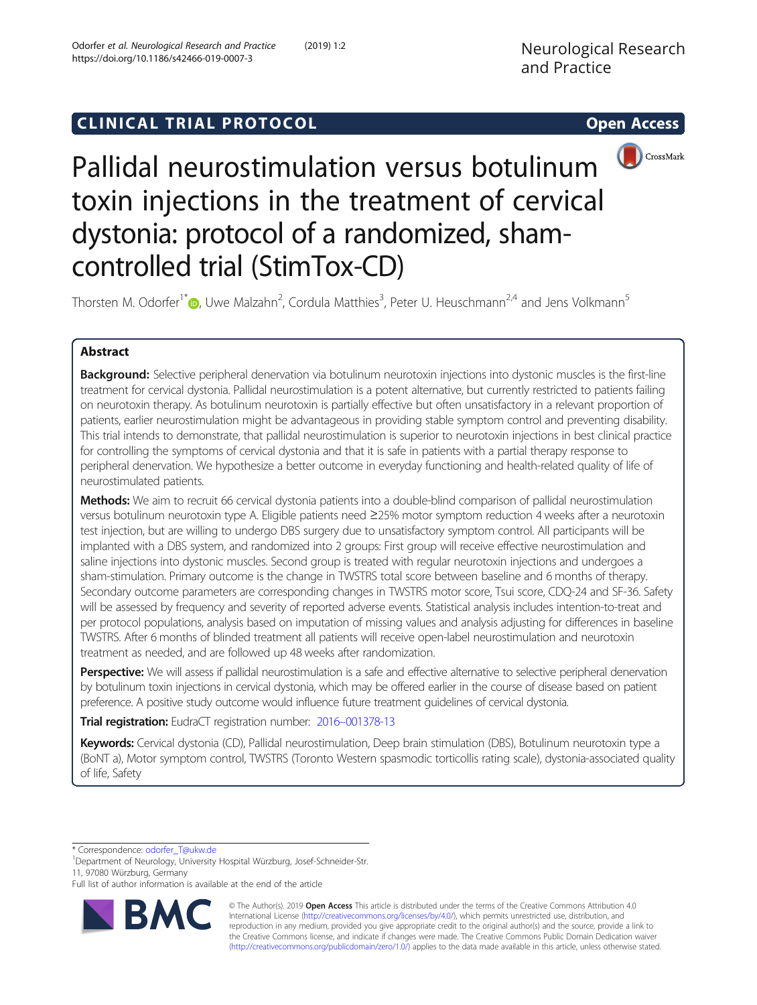## **CLINICAL TRIAL PROTOCOL CLINICAL TRIAL PROTOCOL**



# Pallidal neurostimulation versus botulinum toxin injections in the treatment of cervical dystonia: protocol of a randomized, shamcontrolled trial (StimTox-CD)

Thorsten M. Odorfer<sup>1\*</sup> D[,](http://orcid.org/0000-0001-9042-7689) Uwe Malzahn<sup>2</sup>, Cordula Matthies<sup>3</sup>, Peter U. Heuschmann<sup>2,4</sup> and Jens Volkmann<sup>5</sup>

### Abstract

Background: Selective peripheral denervation via botulinum neurotoxin injections into dystonic muscles is the first-line treatment for cervical dystonia. Pallidal neurostimulation is a potent alternative, but currently restricted to patients failing on neurotoxin therapy. As botulinum neurotoxin is partially effective but often unsatisfactory in a relevant proportion of patients, earlier neurostimulation might be advantageous in providing stable symptom control and preventing disability. This trial intends to demonstrate, that pallidal neurostimulation is superior to neurotoxin injections in best clinical practice for controlling the symptoms of cervical dystonia and that it is safe in patients with a partial therapy response to peripheral denervation. We hypothesize a better outcome in everyday functioning and health-related quality of life of neurostimulated patients.

Methods: We aim to recruit 66 cervical dystonia patients into a double-blind comparison of pallidal neurostimulation versus botulinum neurotoxin type A. Eligible patients need ≥25% motor symptom reduction 4 weeks after a neurotoxin test injection, but are willing to undergo DBS surgery due to unsatisfactory symptom control. All participants will be implanted with a DBS system, and randomized into 2 groups: First group will receive effective neurostimulation and saline injections into dystonic muscles. Second group is treated with regular neurotoxin injections and undergoes a sham-stimulation. Primary outcome is the change in TWSTRS total score between baseline and 6 months of therapy. Secondary outcome parameters are corresponding changes in TWSTRS motor score, Tsui score, CDQ-24 and SF-36. Safety will be assessed by frequency and severity of reported adverse events. Statistical analysis includes intention-to-treat and per protocol populations, analysis based on imputation of missing values and analysis adjusting for differences in baseline TWSTRS. After 6 months of blinded treatment all patients will receive open-label neurostimulation and neurotoxin treatment as needed, and are followed up 48 weeks after randomization.

Perspective: We will assess if pallidal neurostimulation is a safe and effective alternative to selective peripheral denervation by botulinum toxin injections in cervical dystonia, which may be offered earlier in the course of disease based on patient preference. A positive study outcome would influence future treatment guidelines of cervical dystonia.

Trial registration: EudraCT registration number: 2016-[001378-13](https://www.clinicaltrialsregister.eu/ctr-search/trial/2016-001378-13/DE)

Keywords: Cervical dystonia (CD), Pallidal neurostimulation, Deep brain stimulation (DBS), Botulinum neurotoxin type a (BoNT a), Motor symptom control, TWSTRS (Toronto Western spasmodic torticollis rating scale), dystonia-associated quality of life, Safety

\* Correspondence: [odorfer\\_T@ukw.de](mailto:odorfer_T@ukw.de) <sup>1</sup>

<sup>1</sup>Department of Neurology, University Hospital Würzburg, Josef-Schneider-Str. 11, 97080 Würzburg, Germany

Full list of author information is available at the end of the article



© The Author(s). 2019 Open Access This article is distributed under the terms of the Creative Commons Attribution 4.0 International License [\(http://creativecommons.org/licenses/by/4.0/](http://creativecommons.org/licenses/by/4.0/)), which permits unrestricted use, distribution, and reproduction in any medium, provided you give appropriate credit to the original author(s) and the source, provide a link to the Creative Commons license, and indicate if changes were made. The Creative Commons Public Domain Dedication waiver [\(http://creativecommons.org/publicdomain/zero/1.0/](http://creativecommons.org/publicdomain/zero/1.0/)) applies to the data made available in this article, unless otherwise stated.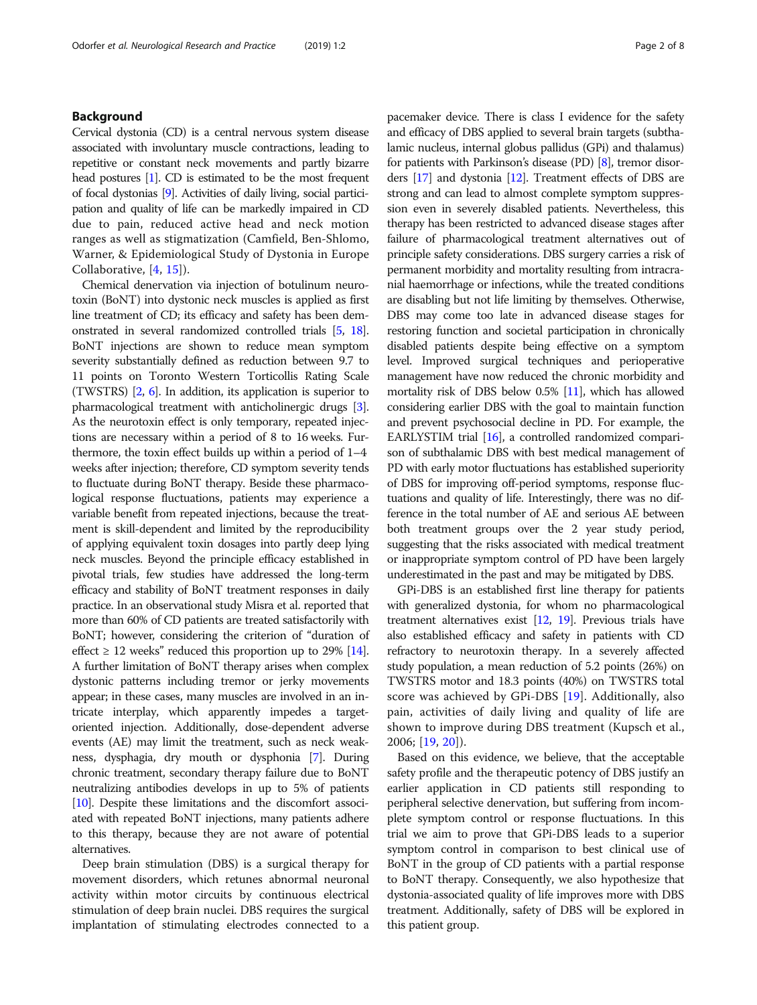#### Background

Cervical dystonia (CD) is a central nervous system disease associated with involuntary muscle contractions, leading to repetitive or constant neck movements and partly bizarre head postures [\[1\]](#page-6-0). CD is estimated to be the most frequent of focal dystonias [\[9\]](#page-6-0). Activities of daily living, social participation and quality of life can be markedly impaired in CD due to pain, reduced active head and neck motion ranges as well as stigmatization (Camfield, Ben-Shlomo, Warner, & Epidemiological Study of Dystonia in Europe Collaborative, [\[4,](#page-6-0) [15\]](#page-7-0)).

Chemical denervation via injection of botulinum neurotoxin (BoNT) into dystonic neck muscles is applied as first line treatment of CD; its efficacy and safety has been demonstrated in several randomized controlled trials [[5](#page-6-0), [18](#page-7-0)]. BoNT injections are shown to reduce mean symptom severity substantially defined as reduction between 9.7 to 11 points on Toronto Western Torticollis Rating Scale (TWSTRS) [\[2,](#page-6-0) [6\]](#page-6-0). In addition, its application is superior to pharmacological treatment with anticholinergic drugs [[3](#page-6-0)]. As the neurotoxin effect is only temporary, repeated injections are necessary within a period of 8 to 16 weeks. Furthermore, the toxin effect builds up within a period of 1–4 weeks after injection; therefore, CD symptom severity tends to fluctuate during BoNT therapy. Beside these pharmacological response fluctuations, patients may experience a variable benefit from repeated injections, because the treatment is skill-dependent and limited by the reproducibility of applying equivalent toxin dosages into partly deep lying neck muscles. Beyond the principle efficacy established in pivotal trials, few studies have addressed the long-term efficacy and stability of BoNT treatment responses in daily practice. In an observational study Misra et al. reported that more than 60% of CD patients are treated satisfactorily with BoNT; however, considering the criterion of "duration of effect  $\geq$  12 weeks" reduced this proportion up to 29% [\[14](#page-6-0)]. A further limitation of BoNT therapy arises when complex dystonic patterns including tremor or jerky movements appear; in these cases, many muscles are involved in an intricate interplay, which apparently impedes a targetoriented injection. Additionally, dose-dependent adverse events (AE) may limit the treatment, such as neck weakness, dysphagia, dry mouth or dysphonia [\[7\]](#page-6-0). During chronic treatment, secondary therapy failure due to BoNT neutralizing antibodies develops in up to 5% of patients [[10](#page-6-0)]. Despite these limitations and the discomfort associated with repeated BoNT injections, many patients adhere to this therapy, because they are not aware of potential alternatives.

Deep brain stimulation (DBS) is a surgical therapy for movement disorders, which retunes abnormal neuronal activity within motor circuits by continuous electrical stimulation of deep brain nuclei. DBS requires the surgical implantation of stimulating electrodes connected to a pacemaker device. There is class I evidence for the safety and efficacy of DBS applied to several brain targets (subthalamic nucleus, internal globus pallidus (GPi) and thalamus) for patients with Parkinson's disease (PD) [\[8\]](#page-6-0), tremor disorders [[17](#page-7-0)] and dystonia [[12](#page-6-0)]. Treatment effects of DBS are strong and can lead to almost complete symptom suppression even in severely disabled patients. Nevertheless, this therapy has been restricted to advanced disease stages after failure of pharmacological treatment alternatives out of principle safety considerations. DBS surgery carries a risk of permanent morbidity and mortality resulting from intracranial haemorrhage or infections, while the treated conditions are disabling but not life limiting by themselves. Otherwise, DBS may come too late in advanced disease stages for restoring function and societal participation in chronically disabled patients despite being effective on a symptom level. Improved surgical techniques and perioperative management have now reduced the chronic morbidity and mortality risk of DBS below 0.5% [\[11\]](#page-6-0), which has allowed considering earlier DBS with the goal to maintain function and prevent psychosocial decline in PD. For example, the EARLYSTIM trial [[16](#page-7-0)], a controlled randomized comparison of subthalamic DBS with best medical management of PD with early motor fluctuations has established superiority of DBS for improving off-period symptoms, response fluctuations and quality of life. Interestingly, there was no difference in the total number of AE and serious AE between both treatment groups over the 2 year study period, suggesting that the risks associated with medical treatment or inappropriate symptom control of PD have been largely underestimated in the past and may be mitigated by DBS.

GPi-DBS is an established first line therapy for patients with generalized dystonia, for whom no pharmacological treatment alternatives exist [[12](#page-6-0), [19](#page-7-0)]. Previous trials have also established efficacy and safety in patients with CD refractory to neurotoxin therapy. In a severely affected study population, a mean reduction of 5.2 points (26%) on TWSTRS motor and 18.3 points (40%) on TWSTRS total score was achieved by GPi-DBS [\[19](#page-7-0)]. Additionally, also pain, activities of daily living and quality of life are shown to improve during DBS treatment (Kupsch et al., 2006; [\[19](#page-7-0), [20](#page-7-0)]).

Based on this evidence, we believe, that the acceptable safety profile and the therapeutic potency of DBS justify an earlier application in CD patients still responding to peripheral selective denervation, but suffering from incomplete symptom control or response fluctuations. In this trial we aim to prove that GPi-DBS leads to a superior symptom control in comparison to best clinical use of BoNT in the group of CD patients with a partial response to BoNT therapy. Consequently, we also hypothesize that dystonia-associated quality of life improves more with DBS treatment. Additionally, safety of DBS will be explored in this patient group.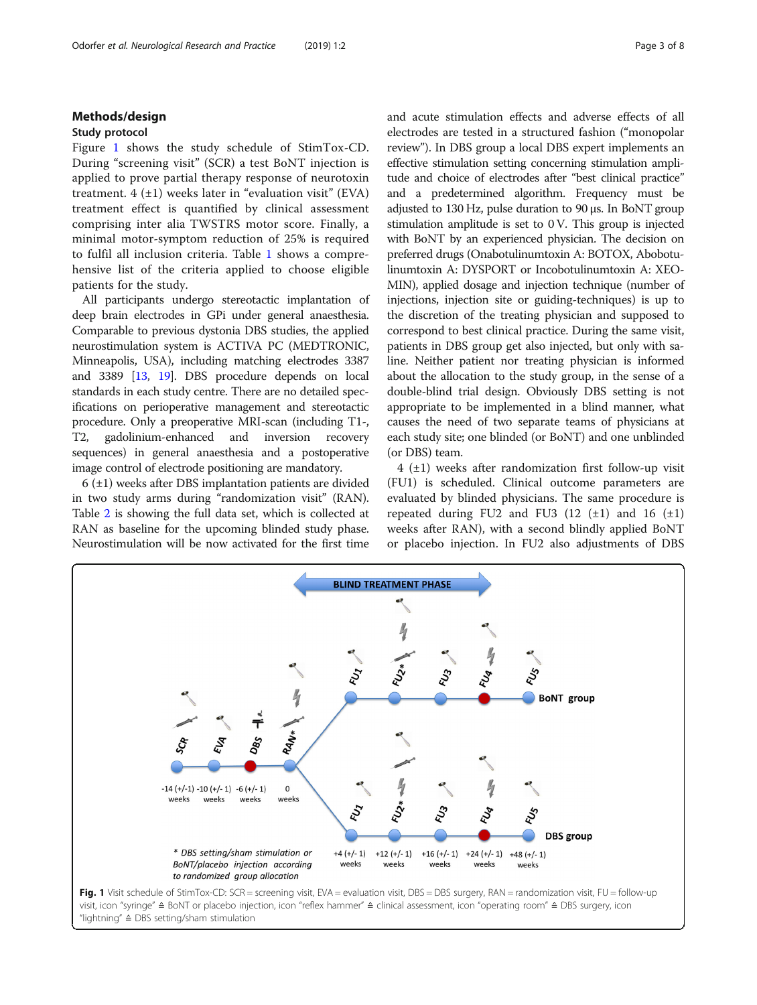#### Methods/design

#### Study protocol

Figure 1 shows the study schedule of StimTox-CD. During "screening visit" (SCR) a test BoNT injection is applied to prove partial therapy response of neurotoxin treatment.  $4$  ( $\pm 1$ ) weeks later in "evaluation visit" (EVA) treatment effect is quantified by clinical assessment comprising inter alia TWSTRS motor score. Finally, a minimal motor-symptom reduction of 25% is required to fulfil all inclusion criteria. Table [1](#page-3-0) shows a comprehensive list of the criteria applied to choose eligible patients for the study.

All participants undergo stereotactic implantation of deep brain electrodes in GPi under general anaesthesia. Comparable to previous dystonia DBS studies, the applied neurostimulation system is ACTIVA PC (MEDTRONIC, Minneapolis, USA), including matching electrodes 3387 and 3389 [\[13,](#page-6-0) [19\]](#page-7-0). DBS procedure depends on local standards in each study centre. There are no detailed specifications on perioperative management and stereotactic procedure. Only a preoperative MRI-scan (including T1-, T2, gadolinium-enhanced and inversion recovery sequences) in general anaesthesia and a postoperative image control of electrode positioning are mandatory.

 $6$  ( $\pm$ 1) weeks after DBS implantation patients are divided in two study arms during "randomization visit" (RAN). Table [2](#page-4-0) is showing the full data set, which is collected at RAN as baseline for the upcoming blinded study phase. Neurostimulation will be now activated for the first time and acute stimulation effects and adverse effects of all electrodes are tested in a structured fashion ("monopolar review"). In DBS group a local DBS expert implements an effective stimulation setting concerning stimulation amplitude and choice of electrodes after "best clinical practice" and a predetermined algorithm. Frequency must be adjusted to 130 Hz, pulse duration to 90 μs. In BoNT group stimulation amplitude is set to 0 V. This group is injected with BoNT by an experienced physician. The decision on preferred drugs (Onabotulinumtoxin A: BOTOX, Abobotulinumtoxin A: DYSPORT or Incobotulinumtoxin A: XEO-MIN), applied dosage and injection technique (number of injections, injection site or guiding-techniques) is up to the discretion of the treating physician and supposed to correspond to best clinical practice. During the same visit, patients in DBS group get also injected, but only with saline. Neither patient nor treating physician is informed about the allocation to the study group, in the sense of a double-blind trial design. Obviously DBS setting is not appropriate to be implemented in a blind manner, what causes the need of two separate teams of physicians at each study site; one blinded (or BoNT) and one unblinded (or DBS) team.

 $4$  ( $\pm$ 1) weeks after randomization first follow-up visit (FU1) is scheduled. Clinical outcome parameters are evaluated by blinded physicians. The same procedure is repeated during FU2 and FU3  $(12 \pm 1)$  and 16  $(\pm 1)$ weeks after RAN), with a second blindly applied BoNT or placebo injection. In FU2 also adjustments of DBS



"lightning" ≙ DBS setting/sham stimulation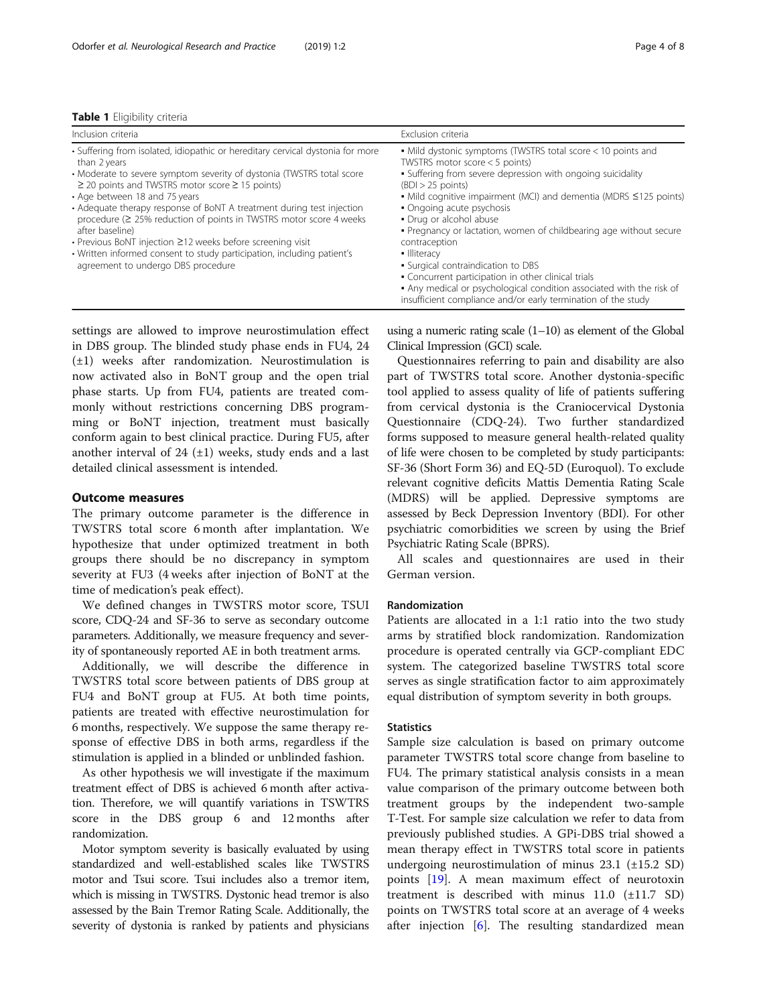<span id="page-3-0"></span>Table 1 Eligibility criteria

| <b>IMMIC I</b> LIIVIDIIII, CHICHO                                                                                                                                                                                                                                                                                                                                                                                                                                                                                                                                                                                           |                                                                                                                                                                                                                                                                                                                                                                                                                                                                                                                                                                                                                                                                        |  |  |  |  |  |  |  |
|-----------------------------------------------------------------------------------------------------------------------------------------------------------------------------------------------------------------------------------------------------------------------------------------------------------------------------------------------------------------------------------------------------------------------------------------------------------------------------------------------------------------------------------------------------------------------------------------------------------------------------|------------------------------------------------------------------------------------------------------------------------------------------------------------------------------------------------------------------------------------------------------------------------------------------------------------------------------------------------------------------------------------------------------------------------------------------------------------------------------------------------------------------------------------------------------------------------------------------------------------------------------------------------------------------------|--|--|--|--|--|--|--|
| Inclusion criteria                                                                                                                                                                                                                                                                                                                                                                                                                                                                                                                                                                                                          | Exclusion criteria                                                                                                                                                                                                                                                                                                                                                                                                                                                                                                                                                                                                                                                     |  |  |  |  |  |  |  |
| • Suffering from isolated, idiopathic or hereditary cervical dystonia for more<br>than 2 years<br>• Moderate to severe symptom severity of dystonia (TWSTRS total score<br>$\geq$ 20 points and TWSTRS motor score $\geq$ 15 points)<br>• Age between 18 and 75 years<br>• Adequate therapy response of BoNT A treatment during test injection<br>procedure ( $\geq$ 25% reduction of points in TWSTRS motor score 4 weeks<br>after baseline)<br>• Previous BoNT injection ≥12 weeks before screening visit<br>. Written informed consent to study participation, including patient's<br>agreement to undergo DBS procedure | • Mild dystonic symptoms (TWSTRS total score < 10 points and<br>TWSTRS motor score $<$ 5 points)<br>• Suffering from severe depression with ongoing suicidality<br>$(BDI > 25$ points)<br>• Mild cognitive impairment (MCI) and dementia (MDRS $\leq$ 125 points)<br>• Ongoing acute psychosis<br>• Drug or alcohol abuse<br>. Pregnancy or lactation, women of childbearing age without secure<br>contraception<br>• Illiteracy<br>• Surgical contraindication to DBS<br>• Concurrent participation in other clinical trials<br>• Any medical or psychological condition associated with the risk of<br>insufficient compliance and/or early termination of the study |  |  |  |  |  |  |  |

settings are allowed to improve neurostimulation effect in DBS group. The blinded study phase ends in FU4, 24 (±1) weeks after randomization. Neurostimulation is now activated also in BoNT group and the open trial phase starts. Up from FU4, patients are treated commonly without restrictions concerning DBS programming or BoNT injection, treatment must basically conform again to best clinical practice. During FU5, after another interval of  $24$  ( $\pm$ 1) weeks, study ends and a last detailed clinical assessment is intended.

#### Outcome measures

The primary outcome parameter is the difference in TWSTRS total score 6 month after implantation. We hypothesize that under optimized treatment in both groups there should be no discrepancy in symptom severity at FU3 (4 weeks after injection of BoNT at the time of medication's peak effect).

We defined changes in TWSTRS motor score, TSUI score, CDQ-24 and SF-36 to serve as secondary outcome parameters. Additionally, we measure frequency and severity of spontaneously reported AE in both treatment arms.

Additionally, we will describe the difference in TWSTRS total score between patients of DBS group at FU4 and BoNT group at FU5. At both time points, patients are treated with effective neurostimulation for 6 months, respectively. We suppose the same therapy response of effective DBS in both arms, regardless if the stimulation is applied in a blinded or unblinded fashion.

As other hypothesis we will investigate if the maximum treatment effect of DBS is achieved 6 month after activation. Therefore, we will quantify variations in TSWTRS score in the DBS group 6 and 12 months after randomization.

Motor symptom severity is basically evaluated by using standardized and well-established scales like TWSTRS motor and Tsui score. Tsui includes also a tremor item, which is missing in TWSTRS. Dystonic head tremor is also assessed by the Bain Tremor Rating Scale. Additionally, the severity of dystonia is ranked by patients and physicians using a numeric rating scale  $(1-10)$  as element of the Global Clinical Impression (GCI) scale.

Questionnaires referring to pain and disability are also part of TWSTRS total score. Another dystonia-specific tool applied to assess quality of life of patients suffering from cervical dystonia is the Craniocervical Dystonia Questionnaire (CDQ-24). Two further standardized forms supposed to measure general health-related quality of life were chosen to be completed by study participants: SF-36 (Short Form 36) and EQ-5D (Euroquol). To exclude relevant cognitive deficits Mattis Dementia Rating Scale (MDRS) will be applied. Depressive symptoms are assessed by Beck Depression Inventory (BDI). For other psychiatric comorbidities we screen by using the Brief Psychiatric Rating Scale (BPRS).

All scales and questionnaires are used in their German version.

#### Randomization

Patients are allocated in a 1:1 ratio into the two study arms by stratified block randomization. Randomization procedure is operated centrally via GCP-compliant EDC system. The categorized baseline TWSTRS total score serves as single stratification factor to aim approximately equal distribution of symptom severity in both groups.

#### **Statistics**

Sample size calculation is based on primary outcome parameter TWSTRS total score change from baseline to FU4. The primary statistical analysis consists in a mean value comparison of the primary outcome between both treatment groups by the independent two-sample T-Test. For sample size calculation we refer to data from previously published studies. A GPi-DBS trial showed a mean therapy effect in TWSTRS total score in patients undergoing neurostimulation of minus 23.1 (±15.2 SD) points [[19](#page-7-0)]. A mean maximum effect of neurotoxin treatment is described with minus 11.0 (±11.7 SD) points on TWSTRS total score at an average of 4 weeks after injection [\[6](#page-6-0)]. The resulting standardized mean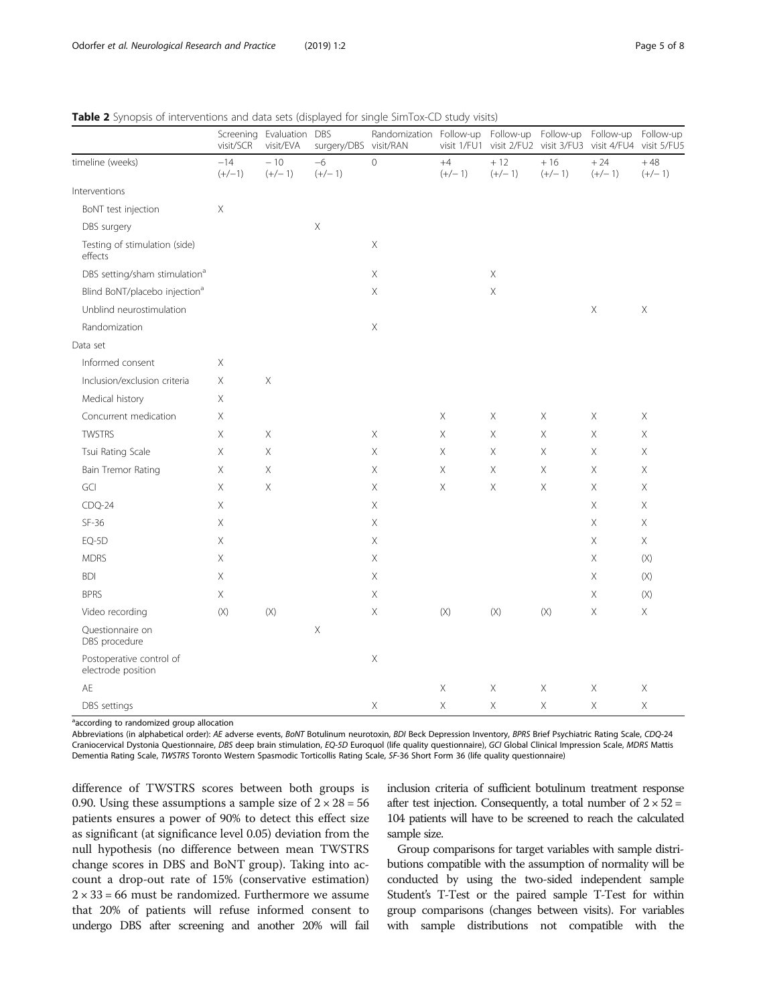|                                                | Screening<br>visit/SCR | Evaluation<br>visit/EVA | $\overline{\phantom{a}}$<br>DBS<br>surgery/DBS visit/RAN | Randomization Follow-up | visit 1/FU1       | Follow-up          | Follow-up<br>visit 2/FU2 visit 3/FU3 | Follow-up<br>visit 4/FU4 | Follow-up<br>visit 5/FU5 |
|------------------------------------------------|------------------------|-------------------------|----------------------------------------------------------|-------------------------|-------------------|--------------------|--------------------------------------|--------------------------|--------------------------|
| timeline (weeks)                               | $-14$<br>$(+/-1)$      | $-10$<br>$(+/- 1)$      | $-6$<br>$(+/- 1)$                                        | $\overline{0}$          | $+4$<br>$(+/- 1)$ | $+12$<br>$(+/- 1)$ | $+16$<br>$(+/- 1)$                   | $+24$<br>$(+/- 1)$       | $+48$<br>$(+/- 1)$       |
| Interventions                                  |                        |                         |                                                          |                         |                   |                    |                                      |                          |                          |
| BoNT test injection                            | Χ                      |                         |                                                          |                         |                   |                    |                                      |                          |                          |
| DBS surgery                                    |                        |                         | X                                                        |                         |                   |                    |                                      |                          |                          |
| Testing of stimulation (side)<br>effects       |                        |                         |                                                          | $\mathsf X$             |                   |                    |                                      |                          |                          |
| DBS setting/sham stimulation <sup>a</sup>      |                        |                         |                                                          | Χ                       |                   | $\mathsf X$        |                                      |                          |                          |
| Blind BoNT/placebo injection <sup>a</sup>      |                        |                         |                                                          | $\mathsf X$             |                   | $\mathsf X$        |                                      |                          |                          |
| Unblind neurostimulation                       |                        |                         |                                                          |                         |                   |                    |                                      | X                        | X                        |
| Randomization                                  |                        |                         |                                                          | $\mathsf X$             |                   |                    |                                      |                          |                          |
| Data set                                       |                        |                         |                                                          |                         |                   |                    |                                      |                          |                          |
| Informed consent                               | Χ                      |                         |                                                          |                         |                   |                    |                                      |                          |                          |
| Inclusion/exclusion criteria                   | Χ                      | $\mathsf X$             |                                                          |                         |                   |                    |                                      |                          |                          |
| Medical history                                | Χ                      |                         |                                                          |                         |                   |                    |                                      |                          |                          |
| Concurrent medication                          | Χ                      |                         |                                                          |                         | $\mathsf X$       | $\mathsf X$        | Χ                                    | Χ                        | Χ                        |
| <b>TWSTRS</b>                                  | Χ                      | Χ                       |                                                          | Χ                       | Χ                 | Χ                  | Χ                                    | Χ                        | $\mathsf X$              |
| Tsui Rating Scale                              | $\mathsf X$            | Χ                       |                                                          | $\mathsf X$             | $\times$          | Χ                  | $\times$                             | Χ                        | Χ                        |
| Bain Tremor Rating                             | Χ                      | Χ                       |                                                          | Χ                       | $\mathsf X$       | Χ                  | Χ                                    | Χ                        | Χ                        |
| $\mathsf{G}\mathsf{C}\mathsf{I}$               | $\mathsf X$            | $\mathsf X$             |                                                          | $\mathsf X$             | $\mathsf X$       | $\mathsf X$        | $\mathsf X$                          | $\mathsf X$              | $\mathsf X$              |
| $CDQ-24$                                       | Χ                      |                         |                                                          | Χ                       |                   |                    |                                      | Χ                        | Χ                        |
| $SF-36$                                        | Χ                      |                         |                                                          | $\mathsf X$             |                   |                    |                                      | $\mathsf X$              | $\times$                 |
| EQ-5D                                          | $\mathsf X$            |                         |                                                          | $\mathsf X$             |                   |                    |                                      | Χ                        | $\mathsf X$              |
| <b>MDRS</b>                                    | Χ                      |                         |                                                          | $\mathsf X$             |                   |                    |                                      | Χ                        | (X)                      |
| <b>BDI</b>                                     | Χ                      |                         |                                                          | Χ                       |                   |                    |                                      | Χ                        | (X)                      |
| <b>BPRS</b>                                    | Χ                      |                         |                                                          | $\mathsf X$             |                   |                    |                                      | Χ                        | (X)                      |
| Video recording                                | (X)                    | $(\times)$              |                                                          | $\mathsf X$             | $(\times)$        | $(\mathsf{X})$     | $(\times)$                           | $\mathsf X$              | $\mathsf X$              |
| Questionnaire on<br>DBS procedure              |                        |                         | $\mathsf X$                                              |                         |                   |                    |                                      |                          |                          |
| Postoperative control of<br>electrode position |                        |                         |                                                          | $\mathsf X$             |                   |                    |                                      |                          |                          |
| AE                                             |                        |                         |                                                          |                         | $\mathsf X$       | Χ                  | X                                    | $\mathsf X$              | Χ                        |
| DBS settings                                   |                        |                         |                                                          | X                       | $\mathsf X$       | $\mathsf X$        | $\mathsf X$                          | $\mathsf X$              | $\mathsf X$              |

<span id="page-4-0"></span>**Table 2** Synopsis of interventions and data sets (displayed for single SimTox-CD study visits)

according to randomized group allocation

Abbreviations (in alphabetical order): AE adverse events, BoNT Botulinum neurotoxin, BDI Beck Depression Inventory, BPRS Brief Psychiatric Rating Scale, CDQ-24 Craniocervical Dystonia Questionnaire, DBS deep brain stimulation, EQ-5D Euroquol (life quality questionnaire), GCI Global Clinical Impression Scale, MDRS Mattis Dementia Rating Scale, TWSTRS Toronto Western Spasmodic Torticollis Rating Scale, SF-36 Short Form 36 (life quality questionnaire)

difference of TWSTRS scores between both groups is 0.90. Using these assumptions a sample size of  $2 \times 28 = 56$ patients ensures a power of 90% to detect this effect size as significant (at significance level 0.05) deviation from the null hypothesis (no difference between mean TWSTRS change scores in DBS and BoNT group). Taking into account a drop-out rate of 15% (conservative estimation)  $2 \times 33 = 66$  must be randomized. Furthermore we assume that 20% of patients will refuse informed consent to undergo DBS after screening and another 20% will fail inclusion criteria of sufficient botulinum treatment response after test injection. Consequently, a total number of  $2 \times 52 =$ 104 patients will have to be screened to reach the calculated sample size.

Group comparisons for target variables with sample distributions compatible with the assumption of normality will be conducted by using the two-sided independent sample Student's T-Test or the paired sample T-Test for within group comparisons (changes between visits). For variables with sample distributions not compatible with the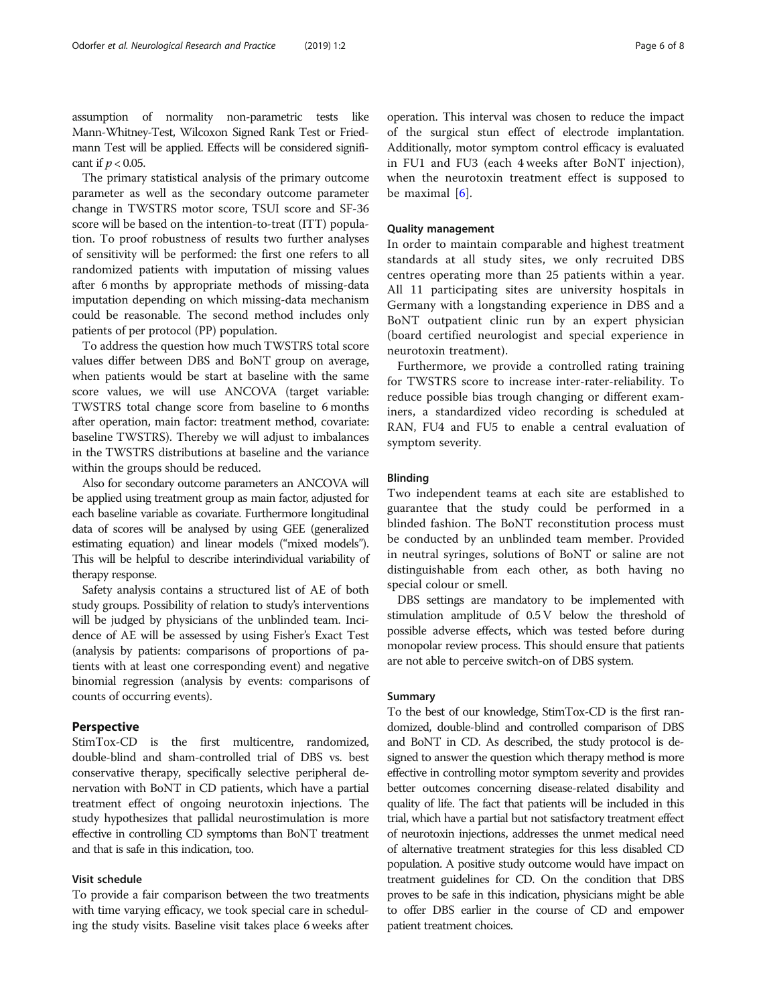The primary statistical analysis of the primary outcome parameter as well as the secondary outcome parameter change in TWSTRS motor score, TSUI score and SF-36 score will be based on the intention-to-treat (ITT) population. To proof robustness of results two further analyses of sensitivity will be performed: the first one refers to all randomized patients with imputation of missing values after 6 months by appropriate methods of missing-data imputation depending on which missing-data mechanism could be reasonable. The second method includes only patients of per protocol (PP) population.

To address the question how much TWSTRS total score values differ between DBS and BoNT group on average, when patients would be start at baseline with the same score values, we will use ANCOVA (target variable: TWSTRS total change score from baseline to 6 months after operation, main factor: treatment method, covariate: baseline TWSTRS). Thereby we will adjust to imbalances in the TWSTRS distributions at baseline and the variance within the groups should be reduced.

Also for secondary outcome parameters an ANCOVA will be applied using treatment group as main factor, adjusted for each baseline variable as covariate. Furthermore longitudinal data of scores will be analysed by using GEE (generalized estimating equation) and linear models ("mixed models"). This will be helpful to describe interindividual variability of therapy response.

Safety analysis contains a structured list of AE of both study groups. Possibility of relation to study's interventions will be judged by physicians of the unblinded team. Incidence of AE will be assessed by using Fisher's Exact Test (analysis by patients: comparisons of proportions of patients with at least one corresponding event) and negative binomial regression (analysis by events: comparisons of counts of occurring events).

#### Perspective

StimTox-CD is the first multicentre, randomized, double-blind and sham-controlled trial of DBS vs. best conservative therapy, specifically selective peripheral denervation with BoNT in CD patients, which have a partial treatment effect of ongoing neurotoxin injections. The study hypothesizes that pallidal neurostimulation is more effective in controlling CD symptoms than BoNT treatment and that is safe in this indication, too.

#### Visit schedule

To provide a fair comparison between the two treatments with time varying efficacy, we took special care in scheduling the study visits. Baseline visit takes place 6 weeks after operation. This interval was chosen to reduce the impact of the surgical stun effect of electrode implantation. Additionally, motor symptom control efficacy is evaluated in FU1 and FU3 (each 4 weeks after BoNT injection), when the neurotoxin treatment effect is supposed to be maximal  $[6]$  $[6]$ .

#### Quality management

In order to maintain comparable and highest treatment standards at all study sites, we only recruited DBS centres operating more than 25 patients within a year. All 11 participating sites are university hospitals in Germany with a longstanding experience in DBS and a BoNT outpatient clinic run by an expert physician (board certified neurologist and special experience in neurotoxin treatment).

Furthermore, we provide a controlled rating training for TWSTRS score to increase inter-rater-reliability. To reduce possible bias trough changing or different examiners, a standardized video recording is scheduled at RAN, FU4 and FU5 to enable a central evaluation of symptom severity.

#### Blinding

Two independent teams at each site are established to guarantee that the study could be performed in a blinded fashion. The BoNT reconstitution process must be conducted by an unblinded team member. Provided in neutral syringes, solutions of BoNT or saline are not distinguishable from each other, as both having no special colour or smell.

DBS settings are mandatory to be implemented with stimulation amplitude of 0.5 V below the threshold of possible adverse effects, which was tested before during monopolar review process. This should ensure that patients are not able to perceive switch-on of DBS system.

#### Summary

To the best of our knowledge, StimTox-CD is the first randomized, double-blind and controlled comparison of DBS and BoNT in CD. As described, the study protocol is designed to answer the question which therapy method is more effective in controlling motor symptom severity and provides better outcomes concerning disease-related disability and quality of life. The fact that patients will be included in this trial, which have a partial but not satisfactory treatment effect of neurotoxin injections, addresses the unmet medical need of alternative treatment strategies for this less disabled CD population. A positive study outcome would have impact on treatment guidelines for CD. On the condition that DBS proves to be safe in this indication, physicians might be able to offer DBS earlier in the course of CD and empower patient treatment choices.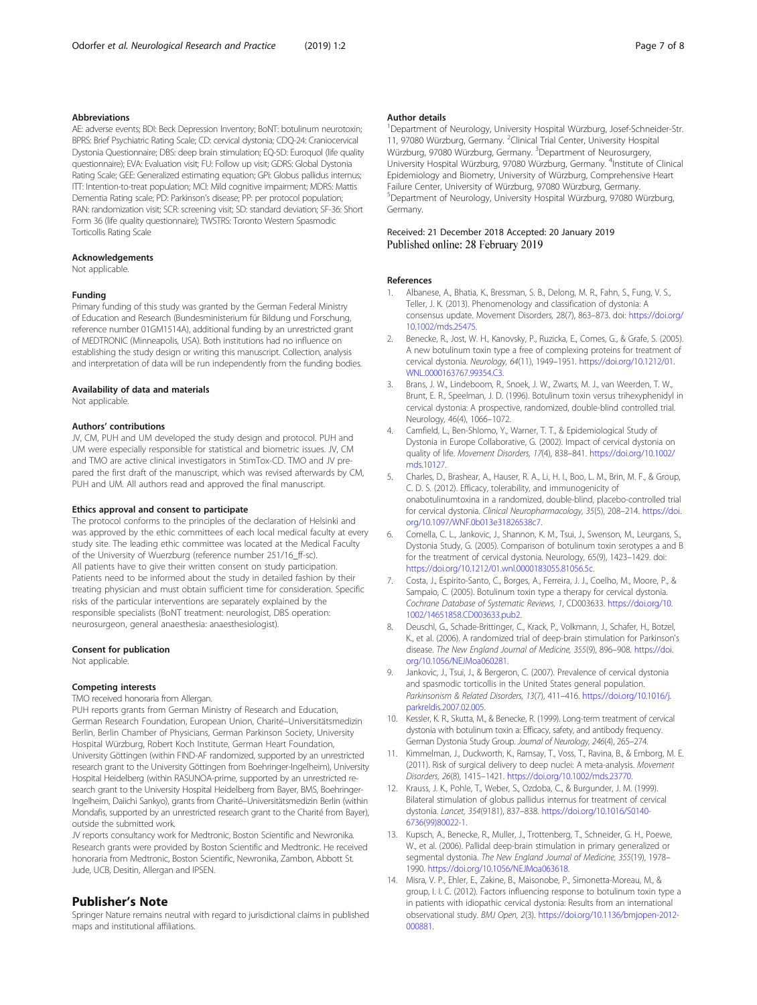#### <span id="page-6-0"></span>Abbreviations

AE: adverse events; BDI: Beck Depression Inventory; BoNT: botulinum neurotoxin; BPRS: Brief Psychiatric Rating Scale; CD: cervical dystonia; CDQ-24: Craniocervical Dystonia Questionnaire; DBS: deep brain stimulation; EQ-5D: Euroquol (life quality questionnaire); EVA: Evaluation visit; FU: Follow up visit; GDRS: Global Dystonia Rating Scale; GEE: Generalized estimating equation; GPi: Globus pallidus internus; ITT: Intention-to-treat population; MCI: Mild cognitive impairment; MDRS: Mattis Dementia Rating scale; PD: Parkinson's disease; PP: per protocol population; RAN: randomization visit; SCR: screening visit; SD: standard deviation; SF-36: Short Form 36 (life quality questionnaire); TWSTRS: Toronto Western Spasmodic Torticollis Rating Scale

#### Acknowledgements

Not applicable.

#### Funding

Primary funding of this study was granted by the German Federal Ministry of Education and Research (Bundesministerium für Bildung und Forschung, reference number 01GM1514A), additional funding by an unrestricted grant of MEDTRONIC (Minneapolis, USA). Both institutions had no influence on establishing the study design or writing this manuscript. Collection, analysis and interpretation of data will be run independently from the funding bodies.

#### Availability of data and materials

Not applicable.

#### Authors' contributions

JV, CM, PUH and UM developed the study design and protocol. PUH and UM were especially responsible for statistical and biometric issues. JV, CM and TMO are active clinical investigators in StimTox-CD. TMO and JV prepared the first draft of the manuscript, which was revised afterwards by CM, PUH and UM. All authors read and approved the final manuscript.

#### Ethics approval and consent to participate

The protocol conforms to the principles of the declaration of Helsinki and was approved by the ethic committees of each local medical faculty at every study site. The leading ethic committee was located at the Medical Faculty of the University of Wuerzburg (reference number 251/16\_ff-sc). All patients have to give their written consent on study participation. Patients need to be informed about the study in detailed fashion by their treating physician and must obtain sufficient time for consideration. Specific risks of the particular interventions are separately explained by the responsible specialists (BoNT treatment: neurologist, DBS operation: neurosurgeon, general anaesthesia: anaesthesiologist).

#### Consent for publication

Not applicable.

#### Competing interests

TMO received honoraria from Allergan.

PUH reports grants from German Ministry of Research and Education, German Research Foundation, European Union, Charité–Universitätsmedizin Berlin, Berlin Chamber of Physicians, German Parkinson Society, University Hospital Würzburg, Robert Koch Institute, German Heart Foundation, University Göttingen (within FIND-AF randomized, supported by an unrestricted research grant to the University Göttingen from Boehringer-Ingelheim), University Hospital Heidelberg (within RASUNOA-prime, supported by an unrestricted research grant to the University Hospital Heidelberg from Bayer, BMS, Boehringer-Ingelheim, Daiichi Sankyo), grants from Charité–Universitätsmedizin Berlin (within Mondafis, supported by an unrestricted research grant to the Charité from Bayer), outside the submitted work.

JV reports consultancy work for Medtronic, Boston Scientific and Newronika. Research grants were provided by Boston Scientific and Medtronic. He received honoraria from Medtronic, Boston Scientific, Newronika, Zambon, Abbott St. Jude, UCB, Desitin, Allergan and IPSEN.

#### Publisher's Note

Springer Nature remains neutral with regard to jurisdictional claims in published maps and institutional affiliations.

#### Author details

<sup>1</sup>Department of Neurology, University Hospital Würzburg, Josef-Schneider-Str. 11, 97080 Würzburg, Germany. <sup>2</sup>Clinical Trial Center, University Hospital Würzburg, 97080 Würzburg, Germany. <sup>3</sup>Department of Neurosurgery, University Hospital Würzburg, 97080 Würzburg, Germany. <sup>4</sup>Institute of Clinical Epidemiology and Biometry, University of Würzburg, Comprehensive Heart Failure Center, University of Würzburg, 97080 Würzburg, Germany. 5 Department of Neurology, University Hospital Würzburg, 97080 Würzburg, Germany.

#### Received: 21 December 2018 Accepted: 20 January 2019 Published online: 28 February 2019

#### References

- 1. Albanese, A., Bhatia, K., Bressman, S. B., Delong, M. R., Fahn, S., Fung, V. S., Teller, J. K. (2013). Phenomenology and classification of dystonia: A consensus update. Movement Disorders, 28(7), 863–873. doi: [https://doi.org/](https://doi.org/10.1002/mds.25475) [10.1002/mds.25475](https://doi.org/10.1002/mds.25475).
- 2. Benecke, R., Jost, W. H., Kanovsky, P., Ruzicka, E., Comes, G., & Grafe, S. (2005). A new botulinum toxin type a free of complexing proteins for treatment of cervical dystonia. Neurology, 64(11), 1949–1951. [https://doi.org/10.1212/01.](https://doi.org/10.1212/01.WNL.0000163767.99354.C3) WNL0000163767.99354.C3.
- 3. Brans, J. W., Lindeboom, R., Snoek, J. W., Zwarts, M. J., van Weerden, T. W., Brunt, E. R., Speelman, J. D. (1996). Botulinum toxin versus trihexyphenidyl in cervical dystonia: A prospective, randomized, double-blind controlled trial. Neurology, 46(4), 1066–1072.
- 4. Camfield, L., Ben-Shlomo, Y., Warner, T. T., & Epidemiological Study of Dystonia in Europe Collaborative, G. (2002). Impact of cervical dystonia on quality of life. Movement Disorders, 17(4), 838–841. [https://doi.org/10.1002/](https://doi.org/10.1002/mds.10127) [mds.10127](https://doi.org/10.1002/mds.10127).
- 5. Charles, D., Brashear, A., Hauser, R. A., Li, H. I., Boo, L. M., Brin, M. F., & Group, C. D. S. (2012). Efficacy, tolerability, and immunogenicity of onabotulinumtoxina in a randomized, double-blind, placebo-controlled trial for cervical dystonia. Clinical Neuropharmacology, 35(5), 208–214. [https://doi.](https://doi.org/10.1097/WNF.0b013e31826538c7) [org/10.1097/WNF.0b013e31826538c7.](https://doi.org/10.1097/WNF.0b013e31826538c7)
- 6. Comella, C. L., Jankovic, J., Shannon, K. M., Tsui, J., Swenson, M., Leurgans, S., Dystonia Study, G. (2005). Comparison of botulinum toxin serotypes a and B for the treatment of cervical dystonia. Neurology, 65(9), 1423–1429. doi: [https://doi.org/10.1212/01.wnl.0000183055.81056.5c.](https://doi.org/10.1212/01.wnl.0000183055.81056.5c)
- 7. Costa, J., Espirito-Santo, C., Borges, A., Ferreira, J. J., Coelho, M., Moore, P., & Sampaio, C. (2005). Botulinum toxin type a therapy for cervical dystonia. Cochrane Database of Systematic Reviews, 1, CD003633. [https://doi.org/10.](https://doi.org/10.1002/14651858.CD003633.pub2) [1002/14651858.CD003633.pub2](https://doi.org/10.1002/14651858.CD003633.pub2).
- 8. Deuschl, G., Schade-Brittinger, C., Krack, P., Volkmann, J., Schafer, H., Botzel, K., et al. (2006). A randomized trial of deep-brain stimulation for Parkinson's disease. The New England Journal of Medicine, 355(9), 896–908. [https://doi.](https://doi.org/10.1056/NEJMoa060281) [org/10.1056/NEJMoa060281](https://doi.org/10.1056/NEJMoa060281).
- 9. Jankovic, J., Tsui, J., & Bergeron, C. (2007). Prevalence of cervical dystonia and spasmodic torticollis in the United States general population. Parkinsonism & Related Disorders, 13(7), 411–416. [https://doi.org/10.1016/j.](https://doi.org/10.1016/j.parkreldis.2007.02.005) [parkreldis.2007.02.005.](https://doi.org/10.1016/j.parkreldis.2007.02.005)
- 10. Kessler, K. R., Skutta, M., & Benecke, R. (1999). Long-term treatment of cervical dystonia with botulinum toxin a: Efficacy, safety, and antibody frequency. German Dystonia Study Group. Journal of Neurology, 246(4), 265–274.
- 11. Kimmelman, J., Duckworth, K., Ramsay, T., Voss, T., Ravina, B., & Emborg, M. E. (2011). Risk of surgical delivery to deep nuclei: A meta-analysis. Movement Disorders, 26(8), 1415–1421. [https://doi.org/10.1002/mds.23770.](https://doi.org/10.1002/mds.23770)
- 12. Krauss, J. K., Pohle, T., Weber, S., Ozdoba, C., & Burgunder, J. M. (1999). Bilateral stimulation of globus pallidus internus for treatment of cervical dystonia. Lancet, 354(9181), 837–838. [https://doi.org/10.1016/S0140-](https://doi.org/10.1016/S0140-6736(99)80022-1) [6736\(99\)80022-1](https://doi.org/10.1016/S0140-6736(99)80022-1).
- 13. Kupsch, A., Benecke, R., Muller, J., Trottenberg, T., Schneider, G. H., Poewe, W., et al. (2006). Pallidal deep-brain stimulation in primary generalized or segmental dystonia. The New England Journal of Medicine, 355(19), 1978– 1990. <https://doi.org/10.1056/NEJMoa063618>.
- 14. Misra, V. P., Ehler, E., Zakine, B., Maisonobe, P., Simonetta-Moreau, M., & group, I. I. C. (2012). Factors influencing response to botulinum toxin type a in patients with idiopathic cervical dystonia: Results from an international observational study. BMJ Open, 2(3). [https://doi.org/10.1136/bmjopen-2012-](https://doi.org/10.1136/bmjopen-2012-000881) [000881](https://doi.org/10.1136/bmjopen-2012-000881).